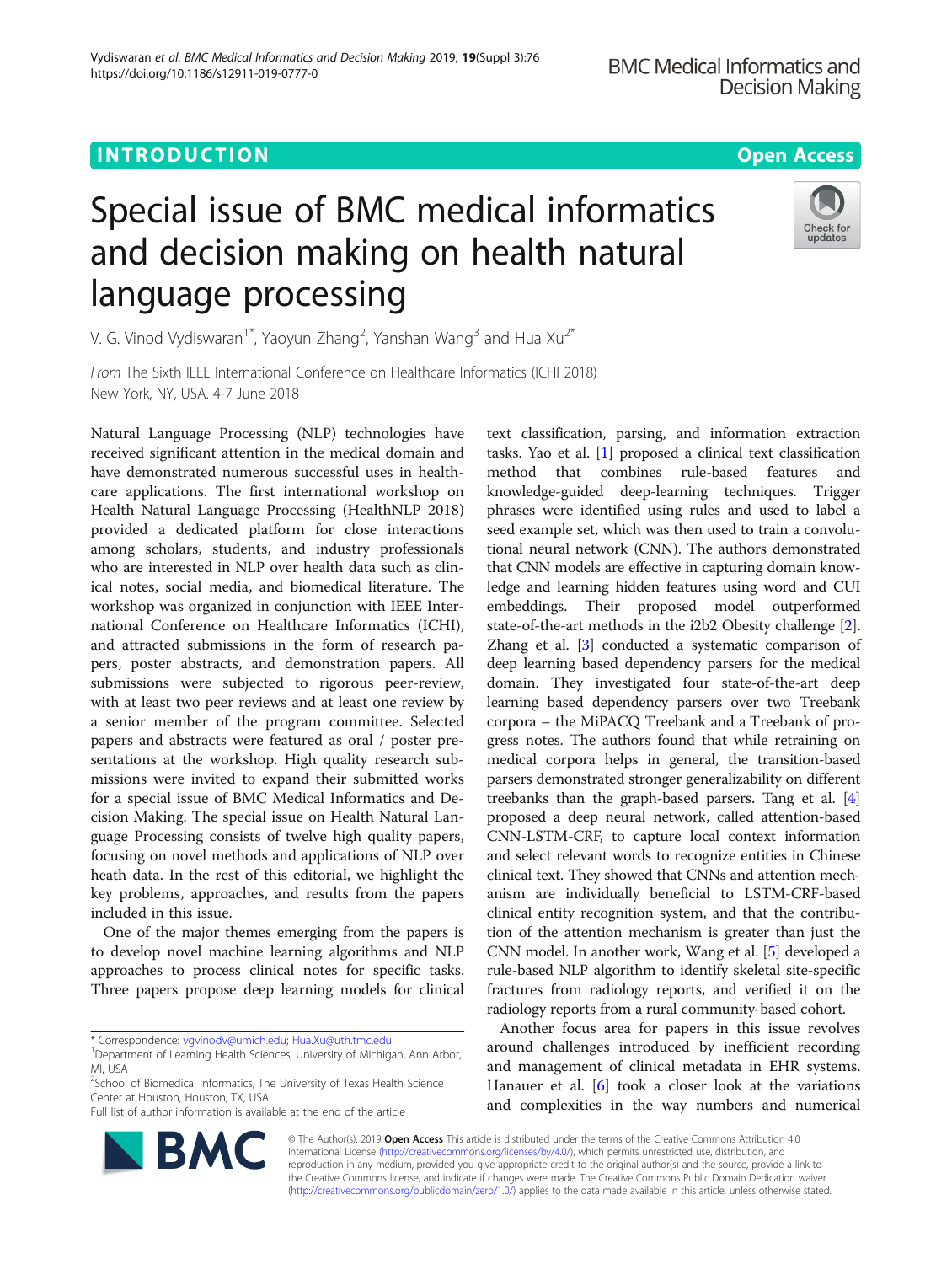https://doi.org/10.1186/s12911-019-0777-0

# Special issue of BMC medical informatics and decision making on health natural language processing



V. G. Vinod Vydiswaran<sup>1\*</sup>, Yaoyun Zhang<sup>2</sup>, Yanshan Wang<sup>3</sup> and Hua Xu<sup>2\*</sup>

From The Sixth IEEE International Conference on Healthcare Informatics (ICHI 2018) New York, NY, USA. 4-7 June 2018

Natural Language Processing (NLP) technologies have received significant attention in the medical domain and have demonstrated numerous successful uses in healthcare applications. The first international workshop on Health Natural Language Processing (HealthNLP 2018) provided a dedicated platform for close interactions among scholars, students, and industry professionals who are interested in NLP over health data such as clinical notes, social media, and biomedical literature. The workshop was organized in conjunction with IEEE International Conference on Healthcare Informatics (ICHI), and attracted submissions in the form of research papers, poster abstracts, and demonstration papers. All submissions were subjected to rigorous peer-review, with at least two peer reviews and at least one review by a senior member of the program committee. Selected papers and abstracts were featured as oral / poster presentations at the workshop. High quality research submissions were invited to expand their submitted works for a special issue of BMC Medical Informatics and Decision Making. The special issue on Health Natural Language Processing consists of twelve high quality papers, focusing on novel methods and applications of NLP over heath data. In the rest of this editorial, we highlight the key problems, approaches, and results from the papers included in this issue.

One of the major themes emerging from the papers is to develop novel machine learning algorithms and NLP approaches to process clinical notes for specific tasks. Three papers propose deep learning models for clinical

\* Correspondence: [vgvinodv@umich.edu](mailto:vgvinodv@umich.edu); [Hua.Xu@uth.tmc.edu](mailto:Hua.Xu@uth.tmc.edu) <sup>1</sup>

Full list of author information is available at the end of the article



Another focus area for papers in this issue revolves around challenges introduced by inefficient recording and management of clinical metadata in EHR systems. Hanauer et al. [[6\]](#page-1-0) took a closer look at the variations and complexities in the way numbers and numerical



© The Author(s). 2019 **Open Access** This article is distributed under the terms of the Creative Commons Attribution 4.0 International License [\(http://creativecommons.org/licenses/by/4.0/](http://creativecommons.org/licenses/by/4.0/)), which permits unrestricted use, distribution, and reproduction in any medium, provided you give appropriate credit to the original author(s) and the source, provide a link to the Creative Commons license, and indicate if changes were made. The Creative Commons Public Domain Dedication waiver [\(http://creativecommons.org/publicdomain/zero/1.0/](http://creativecommons.org/publicdomain/zero/1.0/)) applies to the data made available in this article, unless otherwise stated.

<sup>&</sup>lt;sup>1</sup>Department of Learning Health Sciences, University of Michigan, Ann Arbor, MI, USA

<sup>&</sup>lt;sup>2</sup>School of Biomedical Informatics, The University of Texas Health Science Center at Houston, Houston, TX, USA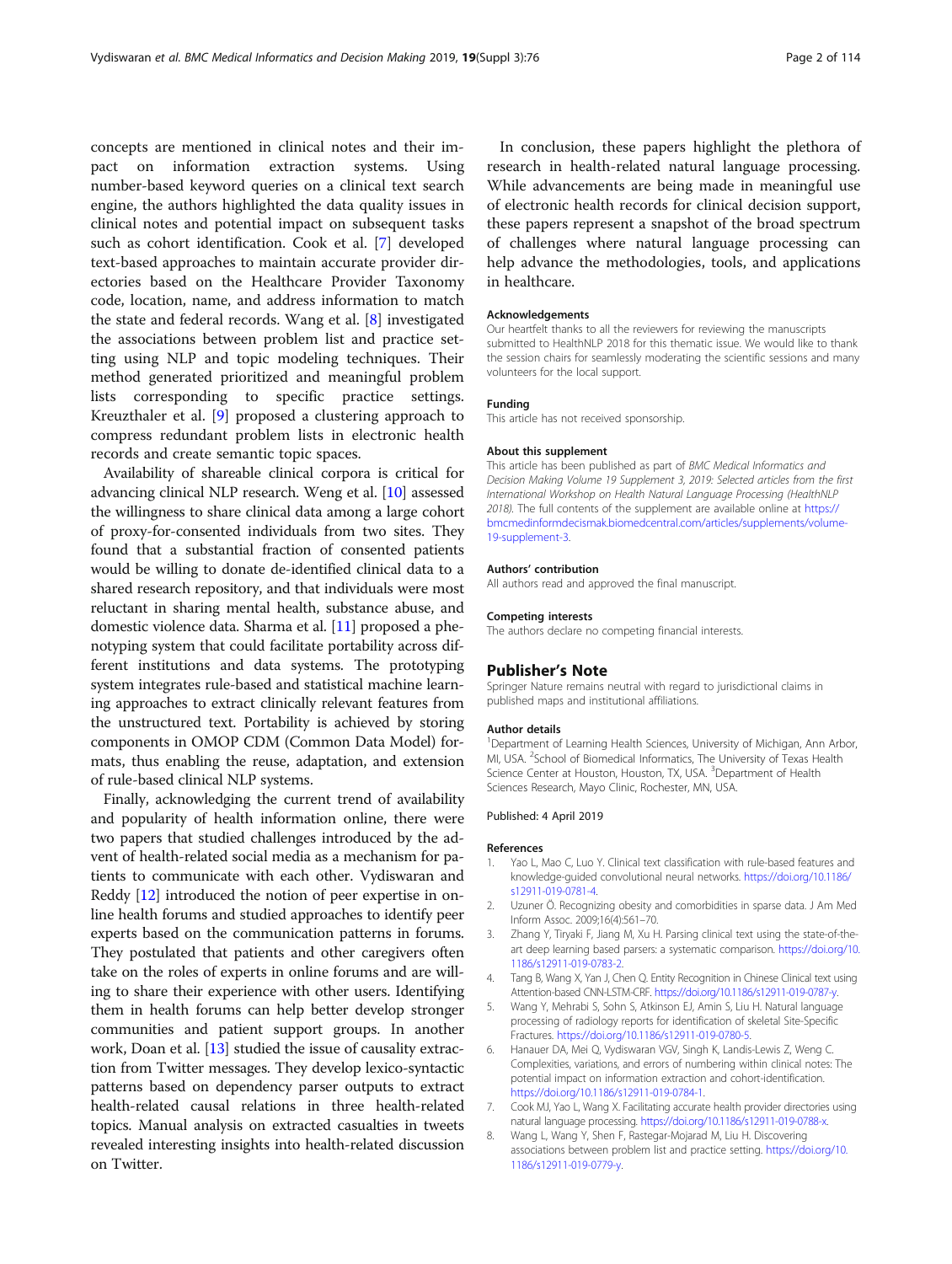<span id="page-1-0"></span>concepts are mentioned in clinical notes and their impact on information extraction systems. Using number-based keyword queries on a clinical text search engine, the authors highlighted the data quality issues in clinical notes and potential impact on subsequent tasks such as cohort identification. Cook et al. [7] developed text-based approaches to maintain accurate provider directories based on the Healthcare Provider Taxonomy code, location, name, and address information to match the state and federal records. Wang et al. [8] investigated the associations between problem list and practice setting using NLP and topic modeling techniques. Their method generated prioritized and meaningful problem lists corresponding to specific practice settings. Kreuzthaler et al. [[9](#page-2-0)] proposed a clustering approach to compress redundant problem lists in electronic health records and create semantic topic spaces.

Availability of shareable clinical corpora is critical for advancing clinical NLP research. Weng et al. [\[10\]](#page-2-0) assessed the willingness to share clinical data among a large cohort of proxy-for-consented individuals from two sites. They found that a substantial fraction of consented patients would be willing to donate de-identified clinical data to a shared research repository, and that individuals were most reluctant in sharing mental health, substance abuse, and domestic violence data. Sharma et al. [\[11\]](#page-2-0) proposed a phenotyping system that could facilitate portability across different institutions and data systems. The prototyping system integrates rule-based and statistical machine learning approaches to extract clinically relevant features from the unstructured text. Portability is achieved by storing components in OMOP CDM (Common Data Model) formats, thus enabling the reuse, adaptation, and extension of rule-based clinical NLP systems.

Finally, acknowledging the current trend of availability and popularity of health information online, there were two papers that studied challenges introduced by the advent of health-related social media as a mechanism for patients to communicate with each other. Vydiswaran and Reddy [[12](#page-2-0)] introduced the notion of peer expertise in online health forums and studied approaches to identify peer experts based on the communication patterns in forums. They postulated that patients and other caregivers often take on the roles of experts in online forums and are willing to share their experience with other users. Identifying them in health forums can help better develop stronger communities and patient support groups. In another work, Doan et al. [\[13\]](#page-2-0) studied the issue of causality extraction from Twitter messages. They develop lexico-syntactic patterns based on dependency parser outputs to extract health-related causal relations in three health-related topics. Manual analysis on extracted casualties in tweets revealed interesting insights into health-related discussion on Twitter.

In conclusion, these papers highlight the plethora of research in health-related natural language processing. While advancements are being made in meaningful use of electronic health records for clinical decision support, these papers represent a snapshot of the broad spectrum of challenges where natural language processing can help advance the methodologies, tools, and applications in healthcare.

#### Acknowledgements

Our heartfelt thanks to all the reviewers for reviewing the manuscripts submitted to HealthNLP 2018 for this thematic issue. We would like to thank the session chairs for seamlessly moderating the scientific sessions and many volunteers for the local support.

# Funding

This article has not received sponsorship.

#### About this supplement

This article has been published as part of BMC Medical Informatics and Decision Making Volume 19 Supplement 3, 2019: Selected articles from the first International Workshop on Health Natural Language Processing (HealthNLP 2018). The full contents of the supplement are available online at [https://](https://bmcmedinformdecismak.biomedcentral.com/articles/supplements/volume-19-supplement-3) [bmcmedinformdecismak.biomedcentral.com/articles/supplements/volume-](https://bmcmedinformdecismak.biomedcentral.com/articles/supplements/volume-19-supplement-3)[19-supplement-3.](https://bmcmedinformdecismak.biomedcentral.com/articles/supplements/volume-19-supplement-3)

### Authors' contribution

All authors read and approved the final manuscript.

# Competing interests

The authors declare no competing financial interests.

### Publisher's Note

Springer Nature remains neutral with regard to jurisdictional claims in published maps and institutional affiliations.

#### Author details

<sup>1</sup>Department of Learning Health Sciences, University of Michigan, Ann Arbor MI, USA. <sup>2</sup> School of Biomedical Informatics, The University of Texas Health Science Center at Houston, Houston, TX, USA. <sup>3</sup>Department of Health Sciences Research, Mayo Clinic, Rochester, MN, USA.

# Published: 4 April 2019

#### References

- 1. Yao L, Mao C, Luo Y. Clinical text classification with rule-based features and knowledge-guided convolutional neural networks. [https://doi.org/10.1186/](https://doi.org/10.1186/s12911-019-0781-4) [s12911-019-0781-4.](https://doi.org/10.1186/s12911-019-0781-4)
- 2. Uzuner Ö. Recognizing obesity and comorbidities in sparse data. J Am Med Inform Assoc. 2009;16(4):561–70.
- 3. Zhang Y, Tiryaki F, Jiang M, Xu H. Parsing clinical text using the state-of-theart deep learning based parsers: a systematic comparison. [https://doi.org/10.](https://doi.org/10.1186/s12911-019-0783-2) [1186/s12911-019-0783-2](https://doi.org/10.1186/s12911-019-0783-2).
- 4. Tang B, Wang X, Yan J, Chen Q. Entity Recognition in Chinese Clinical text using Attention-based CNN-LSTM-CRF. [https://doi.org/10.1186/s12911-019-0787-y.](https://doi.org/10.1186/s12911-019-0787-y)
- 5. Wang Y, Mehrabi S, Sohn S, Atkinson EJ, Amin S, Liu H. Natural language processing of radiology reports for identification of skeletal Site-Specific Fractures. <https://doi.org/10.1186/s12911-019-0780-5>.
- 6. Hanauer DA, Mei Q, Vydiswaran VGV, Singh K, Landis-Lewis Z, Weng C. Complexities, variations, and errors of numbering within clinical notes: The potential impact on information extraction and cohort-identification. <https://doi.org/10.1186/s12911-019-0784-1>.
- 7. Cook MJ, Yao L, Wang X. Facilitating accurate health provider directories using natural language processing. <https://doi.org/10.1186/s12911-019-0788-x>.
- 8. Wang L, Wang Y, Shen F, Rastegar-Mojarad M, Liu H. Discovering associations between problem list and practice setting. [https://doi.org/10.](https://doi.org/10.1186/s12911-019-0779-y) [1186/s12911-019-0779-y.](https://doi.org/10.1186/s12911-019-0779-y)